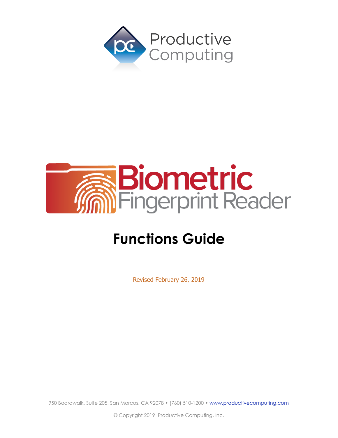



# **Functions Guide**

Revised February 26, 2019

950 Boardwalk, Suite 205, San Marcos, CA 92078 • (760) 510-1200 • [www.productivecomputing.com](http://www.productivecomputing.com)

© Copyright 2019 Productive Computing, Inc.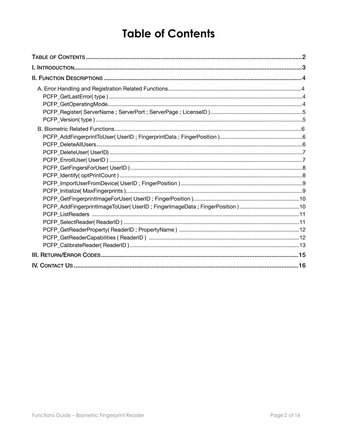## <span id="page-1-0"></span>**Table of Contents**

| PCFP_AddFingerprintImageToUser(UserID; FingerImageData; FingerPosition)10<br>PCFP_GetReaderCapabilities (ReaderID) machinesis and content to the content of the content of the content of t |  |  |
|---------------------------------------------------------------------------------------------------------------------------------------------------------------------------------------------|--|--|
|                                                                                                                                                                                             |  |  |
|                                                                                                                                                                                             |  |  |
|                                                                                                                                                                                             |  |  |
|                                                                                                                                                                                             |  |  |
|                                                                                                                                                                                             |  |  |
|                                                                                                                                                                                             |  |  |
|                                                                                                                                                                                             |  |  |
|                                                                                                                                                                                             |  |  |
|                                                                                                                                                                                             |  |  |
|                                                                                                                                                                                             |  |  |
|                                                                                                                                                                                             |  |  |
|                                                                                                                                                                                             |  |  |
|                                                                                                                                                                                             |  |  |
|                                                                                                                                                                                             |  |  |
|                                                                                                                                                                                             |  |  |
|                                                                                                                                                                                             |  |  |
|                                                                                                                                                                                             |  |  |
|                                                                                                                                                                                             |  |  |
|                                                                                                                                                                                             |  |  |
|                                                                                                                                                                                             |  |  |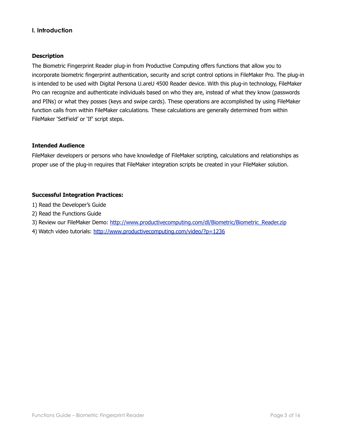## <span id="page-2-0"></span>**I. Introduction**

#### **Description**

The Biometric Fingerprint Reader plug-in from Productive Computing offers functions that allow you to incorporate biometric fingerprint authentication, security and script control options in FileMaker Pro. The plug-in is intended to be used with Digital Persona U.areU 4500 Reader device. With this plug-in technology, FileMaker Pro can recognize and authenticate individuals based on who they are, instead of what they know (passwords and PINs) or what they posses (keys and swipe cards). These operations are accomplished by using FileMaker function calls from within FileMaker calculations. These calculations are generally determined from within FileMaker 'SetField' or 'If' script steps.

#### **Intended Audience**

FileMaker developers or persons who have knowledge of FileMaker scripting, calculations and relationships as proper use of the plug-in requires that FileMaker integration scripts be created in your FileMaker solution.

#### **Successful Integration Practices:**

- 1) Read the Developer's Guide
- 2) Read the Functions Guide
- 3) Review our FileMaker Demo: [http://www.productivecomputing.com/dl/Biometric/Biometric\\_Reader.zip](http://www.productivecomputing.com/dl/Biometric/Biometric_Reader.zip)
- 4) Watch video tutorials:<http://www.productivecomputing.com/video/?p=1236>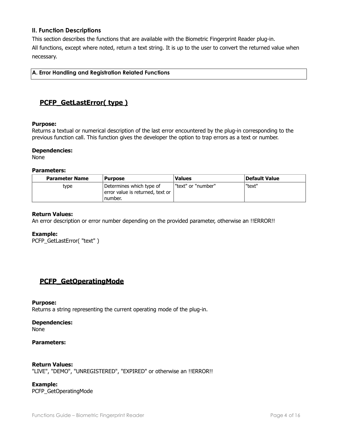## <span id="page-3-0"></span>**II. Function Descriptions**

This section describes the functions that are available with the Biometric Fingerprint Reader plug-in. All functions, except where noted, return a text string. It is up to the user to convert the returned value when necessary.

<span id="page-3-1"></span>**A. Error Handling and Registration Related Functions**

## <span id="page-3-2"></span>**PCFP\_GetLastError( type )**

#### **Purpose:**

Returns a textual or numerical description of the last error encountered by the plug-in corresponding to the previous function call. This function gives the developer the option to trap errors as a text or number.

#### **Dependencies:**

None

#### **Parameters:**

| <b>Parameter Name</b> | <b>Purpose</b>                                                          | <b>Values</b>        | Default Value |
|-----------------------|-------------------------------------------------------------------------|----------------------|---------------|
| type                  | Determines which type of<br>error value is returned, text or<br>number. | l "text" or "number" | "text"        |

#### **Return Values:**

An error description or error number depending on the provided parameter, otherwise an !!ERROR!!

#### **Example:**

PCFP\_GetLastError( "text" )

## <span id="page-3-3"></span>**PCFP\_GetOperatingMode**

#### **Purpose:**

Returns a string representing the current operating mode of the plug-in.

#### **Dependencies:**

None

#### **Parameters:**

#### **Return Values:**

"LIVE", "DEMO", "UNREGISTERED", "EXPIRED" or otherwise an !!ERROR!!

**Example:** PCFP\_GetOperatingMode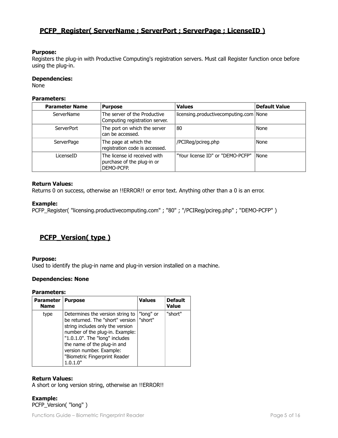## <span id="page-4-0"></span>**PCFP\_Register( ServerName ; ServerPort ; ServerPage ; LicenseID )**

#### **Purpose:**

Registers the plug-in with Productive Computing's registration servers. Must call Register function once before using the plug-in.

#### **Dependencies:**

None

#### **Parameters:**

| <b>Parameter Name</b> | <b>Purpose</b>                                                           | <b>Values</b>                            | Default Value |
|-----------------------|--------------------------------------------------------------------------|------------------------------------------|---------------|
| <b>ServerName</b>     | The server of the Productive<br>Computing registration server.           | licensing.productivecomputing.com   None |               |
| ServerPort            | The port on which the server<br>can be accessed.                         | 80                                       | None          |
| <b>ServerPage</b>     | The page at which the<br>registration code is accessed.                  | /PCIReg/pcireg.php                       | None          |
| LicenseID             | The license id received with<br>purchase of the plug-in or<br>DEMO-PCFP. | "Your license ID" or "DEMO-PCFP"         | None          |

#### **Return Values:**

Returns 0 on success, otherwise an !!ERROR!! or error text. Anything other than a 0 is an error.

#### **Example:**

PCFP\_Register( "licensing.productivecomputing.com" ; "80" ; "/PCIReg/pcireg.php" ; "DEMO-PCFP" )

## <span id="page-4-1"></span>**PCFP\_Version( type )**

#### **Purpose:**

Used to identify the plug-in name and plug-in version installed on a machine.

#### **Dependencies: None**

#### **Parameters:**

| <b>Parameter</b><br><b>Name</b> | <b>Purpose</b>                                                                                                                                                                                                                                                                        | <b>Values</b>        | <b>Default</b><br><b>Value</b> |
|---------------------------------|---------------------------------------------------------------------------------------------------------------------------------------------------------------------------------------------------------------------------------------------------------------------------------------|----------------------|--------------------------------|
| type                            | Determines the version string to<br>be returned. The "short" version<br>string includes only the version<br>number of the plug-in. Example:<br>"1.0.1.0". The "long" includes<br>the name of the plug-in and<br>version number. Example:<br>"Biometric Fingerprint Reader<br>1.0.1.0" | "long" or<br>"short" | "short"                        |

#### **Return Values:**

A short or long version string, otherwise an !!ERROR!!

**Example:** PCFP\_Version( "long" )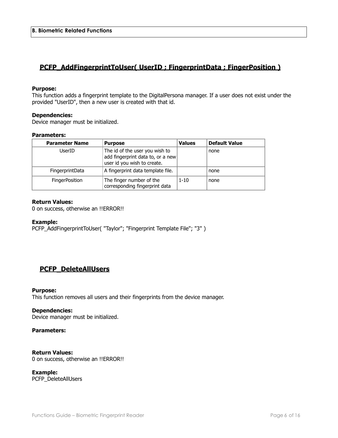## <span id="page-5-1"></span><span id="page-5-0"></span>**PCFP\_AddFingerprintToUser( UserID ; FingerprintData ; FingerPosition )**

#### **Purpose:**

This function adds a fingerprint template to the DigitalPersona manager. If a user does not exist under the provided "UserID", then a new user is created with that id.

#### **Dependencies:**

Device manager must be initialized.

#### **Parameters:**

| <b>Parameter Name</b> | <b>Purpose</b>                                                                                     | <b>Values</b> | <b>Default Value</b> |
|-----------------------|----------------------------------------------------------------------------------------------------|---------------|----------------------|
| UserID                | The id of the user you wish to<br>add fingerprint data to, or a new<br>user id you wish to create. |               | none                 |
| FingerprintData       | A fingerprint data template file.                                                                  |               | none                 |
| <b>FingerPosition</b> | The finger number of the<br>corresponding fingerprint data                                         | $1 - 10$      | none                 |

#### **Return Values:**

0 on success, otherwise an !!ERROR!!

#### **Example:**

PCFP\_AddFingerprintToUser( "Taylor"; "Fingerprint Template File"; "3" )

## <span id="page-5-2"></span>**PCFP\_DeleteAllUsers**

#### **Purpose:**

This function removes all users and their fingerprints from the device manager.

#### **Dependencies:**

Device manager must be initialized.

#### **Parameters:**

#### **Return Values:**

0 on success, otherwise an !!ERROR!!

**Example:** PCFP\_DeleteAllUsers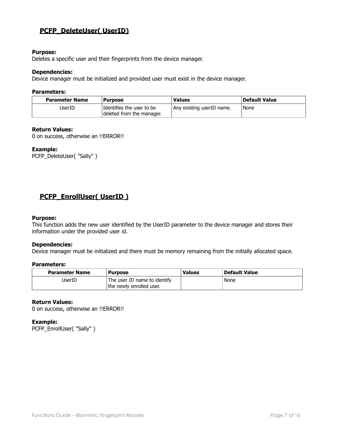## <span id="page-6-0"></span>**PCFP\_DeleteUser( UserID)**

#### **Purpose:**

Deletes a specific user and their fingerprints from the device manager.

#### **Dependencies:**

Device manager must be initialized and provided user must exist in the device manager.

#### **Parameters:**

| <b>Parameter Name</b> | <b>Purpose</b>                                         | <b>Values</b>             | Default Value |
|-----------------------|--------------------------------------------------------|---------------------------|---------------|
| UserID                | Identifies the user to be<br>deleted from the manager. | Any existing userID name. | None          |

#### **Return Values:**

0 on success, otherwise an !!ERROR!!

#### **Example:**

PCFP\_DeleteUser( "Sally" )

## <span id="page-6-1"></span>**PCFP\_EnrollUser( UserID )**

#### **Purpose:**

This function adds the new user identified by the UserID parameter to the device manager and stores their information under the provided user id.

#### **Dependencies:**

Device manager must be initialized and there must be memory remaining from the initially allocated space.

#### **Parameters:**

| <b>Parameter Name</b> | <b>Purpose</b>                                           | <b>Values</b> | <b>Default Value</b> |
|-----------------------|----------------------------------------------------------|---------------|----------------------|
| JserID                | The user ID name to identify<br>the newly enrolled user. |               | None                 |

#### **Return Values:**

0 on success, otherwise an !!ERROR!!

#### **Example:**

PCFP\_EnrollUser( "Sally" )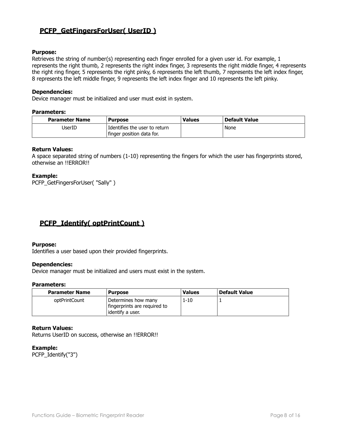## <span id="page-7-0"></span>**PCFP\_GetFingersForUser( UserID )**

#### **Purpose:**

Retrieves the string of number(s) representing each finger enrolled for a given user id. For example, 1 represents the right thumb, 2 represents the right index finger, 3 represents the right middle finger, 4 represents the right ring finger, 5 represents the right pinky, 6 represents the left thumb, 7 represents the left index finger, 8 represents the left middle finger, 9 represents the left index finger and 10 represents the left pinky.

#### **Dependencies:**

Device manager must be initialized and user must exist in system.

#### **Parameters:**

| <b>Parameter Name</b> | Purpose                       | <b>Values</b> | <b>Default Value</b> |
|-----------------------|-------------------------------|---------------|----------------------|
| JserID                | Identifies the user to return |               | None                 |
|                       | finger position data for.     |               |                      |

#### **Return Values:**

A space separated string of numbers (1-10) representing the fingers for which the user has fingerprints stored, otherwise an !!ERROR!!

#### **Example:**

PCFP\_GetFingersForUser( "Sally" )

## <span id="page-7-1"></span>**PCFP\_Identify( optPrintCount )**

#### **Purpose:**

Identifies a user based upon their provided fingerprints.

#### **Dependencies:**

Device manager must be initialized and users must exist in the system.

#### **Parameters:**

| <b>Parameter Name</b> | <b>Purpose</b>                                                            | <b>Values</b> | <b>Default Value</b> |
|-----------------------|---------------------------------------------------------------------------|---------------|----------------------|
| optPrintCount         | Determines how many<br>fingerprints are required to<br>l identify a user. | 1-10          |                      |

#### **Return Values:**

Returns UserID on success, otherwise an !!ERROR!!

**Example:** PCFP\_Identify("3")

Functions Guide – Biometric Fingerprint Reader **Page 8 of 16** and 2008 of 16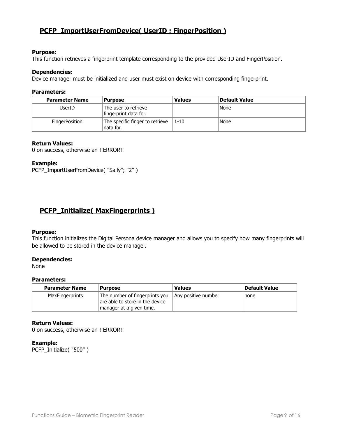## <span id="page-8-0"></span>**PCFP\_ImportUserFromDevice( UserID ; FingerPosition )**

#### **Purpose:**

This function retrieves a fingerprint template corresponding to the provided UserID and FingerPosition.

#### **Dependencies:**

Device manager must be initialized and user must exist on device with corresponding fingerprint.

#### **Parameters:**

| <b>Parameter Name</b> | <b>Purpose</b>                                | <b>Values</b> | Default Value |
|-----------------------|-----------------------------------------------|---------------|---------------|
| UserID                | The user to retrieve<br>fingerprint data for. |               | None          |
| FingerPosition        | The specific finger to retrieve<br>data for.  | $1 - 10$      | None          |

#### **Return Values:**

0 on success, otherwise an !!ERROR!!

#### **Example:**

PCFP\_ImportUserFromDevice( "Sally"; "2" )

## <span id="page-8-1"></span>**PCFP\_Initialize( MaxFingerprints )**

#### **Purpose:**

This function initializes the Digital Persona device manager and allows you to specify how many fingerprints will be allowed to be stored in the device manager.

#### **Dependencies:**

None

#### **Parameters:**

| <b>Parameter Name</b>  | <b>Purpose</b>                                                                                | <b>Values</b>       | <b>Default Value</b> |
|------------------------|-----------------------------------------------------------------------------------------------|---------------------|----------------------|
| <b>MaxFingerprints</b> | The number of fingerprints you<br>are able to store in the device<br>manager at a given time. | Any positive number | none                 |

#### **Return Values:**

0 on success, otherwise an !!ERROR!!

#### **Example:**

PCFP\_Initialize( "500" )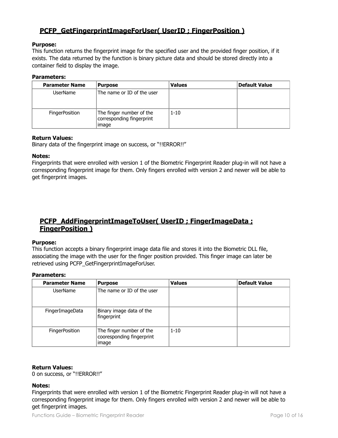## <span id="page-9-0"></span>**PCFP\_GetFingerprintImageForUser( UserID ; FingerPosition )**

#### **Purpose:**

This function returns the fingerprint image for the specified user and the provided finger position, if it exists. The data returned by the function is binary picture data and should be stored directly into a container field to display the image.

#### **Parameters:**

| <b>Parameter Name</b> | <b>Purpose</b>                                                 | <b>Values</b> | Default Value |
|-----------------------|----------------------------------------------------------------|---------------|---------------|
| UserName              | The name or ID of the user                                     |               |               |
| <b>FingerPosition</b> | The finger number of the<br>corresponding fingerprint<br>image | $1 - 10$      |               |

#### **Return Values:**

Binary data of the fingerprint image on success, or "!!ERROR!!"

#### **Notes:**

Fingerprints that were enrolled with version 1 of the Biometric Fingerprint Reader plug-in will not have a corresponding fingerprint image for them. Only fingers enrolled with version 2 and newer will be able to get fingerprint images.

## <span id="page-9-1"></span>**PCFP\_AddFingerprintImageToUser( UserID ; FingerImageData ; FingerPosition )**

#### **Purpose:**

This function accepts a binary fingerprint image data file and stores it into the Biometric DLL file, associating the image with the user for the finger position provided. This finger image can later be retrieved using PCFP\_GetFingerprintImageForUser.

#### **Parameters:**

| <b>Parameter Name</b> | <b>Purpose</b>                                                 | <b>Values</b> | <b>Default Value</b> |
|-----------------------|----------------------------------------------------------------|---------------|----------------------|
| <b>UserName</b>       | The name or ID of the user                                     |               |                      |
| FingerImageData       | Binary image data of the<br>fingerprint                        |               |                      |
| <b>FingerPosition</b> | The finger number of the<br>cooresponding fingerprint<br>image | $1 - 10$      |                      |

#### **Return Values:**

0 on success, or "!!ERROR!!"

#### **Notes:**

Fingerprints that were enrolled with version 1 of the Biometric Fingerprint Reader plug-in will not have a corresponding fingerprint image for them. Only fingers enrolled with version 2 and newer will be able to get fingerprint images.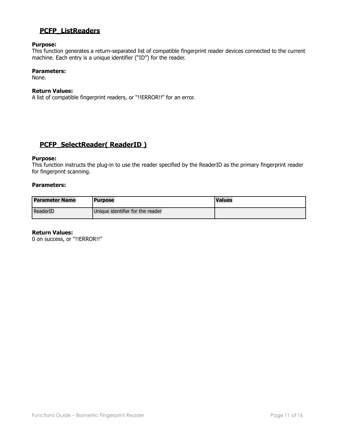## <span id="page-10-0"></span>**PCFP\_ListReaders**

#### **Purpose:**

This function generates a return-separated list of compatible fingerprint reader devices connected to the current machine. Each entry is a unique identifier ("ID") for the reader.

#### **Parameters:**

None.

#### **Return Values:**

A list of compatible fingerprint readers, or "!!ERROR!!" for an error.

## <span id="page-10-1"></span>**PCFP\_SelectReader( ReaderID )**

#### **Purpose:**

This function instructs the plug-in to use the reader specified by the ReaderID as the primary fingerprint reader for fingerprint scanning.

#### **Parameters:**

| <b>Parameter Name</b> | l Purpose                        | <b>Values</b> |
|-----------------------|----------------------------------|---------------|
| ReaderID              | Unique identifier for the reader |               |

#### **Return Values:**

0 on success, or "!!ERROR!!"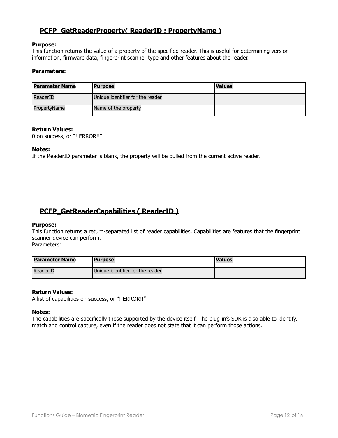## <span id="page-11-0"></span>**PCFP\_GetReaderProperty( ReaderID ; PropertyName )**

#### **Purpose:**

This function returns the value of a property of the specified reader. This is useful for determining version information, firmware data, fingerprint scanner type and other features about the reader.

#### **Parameters:**

| <b>Parameter Name</b> | <b>Purpose</b>                   | <b>Values</b> |
|-----------------------|----------------------------------|---------------|
| ReaderID              | Unique identifier for the reader |               |
| PropertyName          | Name of the property             |               |

#### **Return Values:**

0 on success, or "!!ERROR!!"

#### **Notes:**

If the ReaderID parameter is blank, the property will be pulled from the current active reader.

## <span id="page-11-1"></span>**PCFP\_GetReaderCapabilities ( ReaderID )**

#### **Purpose:**

This function returns a return-separated list of reader capabilities. Capabilities are features that the fingerprint scanner device can perform.

Parameters:

| <b>Parameter Name</b> | <b>Purpose</b>                   | <b>Values</b> |
|-----------------------|----------------------------------|---------------|
| <b>ReaderID</b>       | Unique identifier for the reader |               |

#### **Return Values:**

A list of capabilities on success, or "!!ERROR!!"

#### **Notes:**

The capabilities are specifically those supported by the device itself. The plug-in's SDK is also able to identify, match and control capture, even if the reader does not state that it can perform those actions.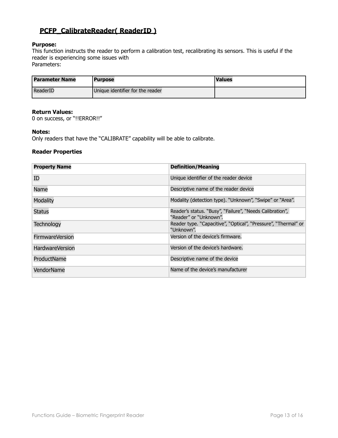## <span id="page-12-0"></span>**PCFP\_CalibrateReader( ReaderID )**

#### **Purpose:**

This function instructs the reader to perform a calibration test, recalibrating its sensors. This is useful if the reader is experiencing some issues with Parameters:

| <b>Parameter Name</b> | <b>Purpose</b>                   | <b>Values</b> |
|-----------------------|----------------------------------|---------------|
| <b>ReaderID</b>       | Unique identifier for the reader |               |

#### **Return Values:**

0 on success, or "!!ERROR!!"

#### **Notes:**

Only readers that have the "CALIBRATE" capability will be able to calibrate.

#### **Reader Properties**

| <b>Property Name</b>   | <b>Definition/Meaning</b>                                                          |
|------------------------|------------------------------------------------------------------------------------|
| ID                     | Unique identifier of the reader device                                             |
| Name                   | Descriptive name of the reader device                                              |
| <b>Modality</b>        | Modality (detection type). "Unknown", "Swipe" or "Area".                           |
| <b>Status</b>          | Reader's status. "Busy", "Failure", "Needs Calibration",<br>"Reader" or "Unknown". |
| <b>Technology</b>      | Reader type. "Capacitive", "Optical", "Pressure", "Thermal" or<br>"Unknown".       |
| <b>FirmwareVersion</b> | Version of the device's firmware.                                                  |
| <b>HardwareVersion</b> | Version of the device's hardware.                                                  |
| ProductName            | Descriptive name of the device                                                     |
| VendorName             | Name of the device's manufacturer                                                  |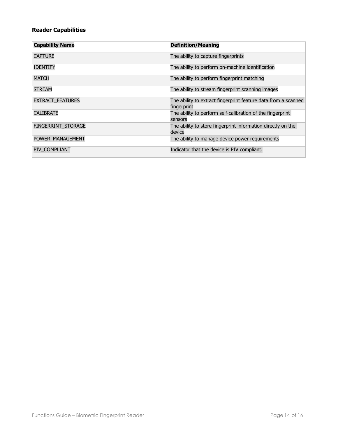## **Reader Capabilities**

| <b>Capability Name</b>  | <b>Definition/Meaning</b>                                                     |
|-------------------------|-------------------------------------------------------------------------------|
| <b>CAPTURE</b>          | The ability to capture fingerprints                                           |
| <b>IDENTIFY</b>         | The ability to perform on-machine identification                              |
| <b>MATCH</b>            | The ability to perform fingerprint matching                                   |
| <b>STREAM</b>           | The ability to stream fingerprint scanning images                             |
| <b>EXTRACT_FEATURES</b> | The ability to extract fingerprint feature data from a scanned<br>fingerprint |
| <b>CALIBRATE</b>        | The ability to perform self-calibration of the fingerprint<br>sensors         |
| FINGERRINT STORAGE      | The ability to store fingerprint information directly on the<br>device        |
| POWER MANAGEMENT        | The ability to manage device power requirements                               |
| PIV COMPLIANT           | Indicator that the device is PIV compliant.                                   |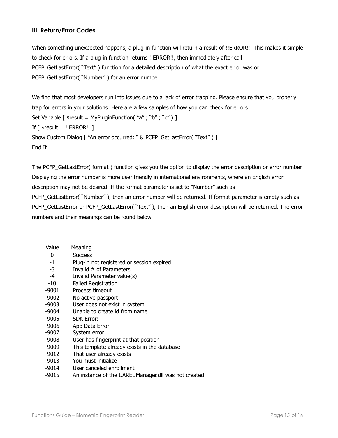## <span id="page-14-0"></span>**III. Return/Error Codes**

When something unexpected happens, a plug-in function will return a result of !!ERROR!!. This makes it simple to check for errors. If a plug-in function returns !!ERROR!!, then immediately after call PCFP\_GetLastError( "Text") function for a detailed description of what the exact error was or PCFP\_GetLastError( "Number" ) for an error number.

We find that most developers run into issues due to a lack of error trapping. Please ensure that you properly trap for errors in your solutions. Here are a few samples of how you can check for errors. Set Variable [ \$result = MyPluginFunction( "a" ; "b" ; "c" ) ] If  $[$  \$result = !!ERROR!!  $]$ Show Custom Dialog [ "An error occurred: " & PCFP\_GetLastError( "Text" ) ] End If

The PCFP\_GetLastError( format ) function gives you the option to display the error description or error number. Displaying the error number is more user friendly in international environments, where an English error description may not be desired. If the format parameter is set to "Number" such as PCFP\_GetLastError( "Number" ), then an error number will be returned. If format parameter is empty such as PCFP\_GetLastError or PCFP\_GetLastError( "Text" ), then an English error description will be returned. The error numbers and their meanings can be found below.

| Value   | Meaning                                      |
|---------|----------------------------------------------|
| 0       | <b>Success</b>                               |
| $-1$    | Plug-in not registered or session expired    |
| $-3$    | Invalid # of Parameters                      |
| $-4$    | Invalid Parameter value(s)                   |
| $-10$   | <b>Failed Registration</b>                   |
| $-9001$ | Process timeout                              |
| $-9002$ | No active passport                           |
| $-9003$ | User does not exist in system                |
| $-9004$ | Unable to create id from name                |
| $-9005$ | <b>SDK Error:</b>                            |
| $-9006$ | App Data Error:                              |
| -9007   | System error:                                |
| $-9008$ | User has fingerprint at that position        |
| $-9009$ | This template already exists in the database |
| $-9012$ | That user already exists                     |
| $-9013$ | You must initialize                          |
| -9014   | User canceled enrollment                     |